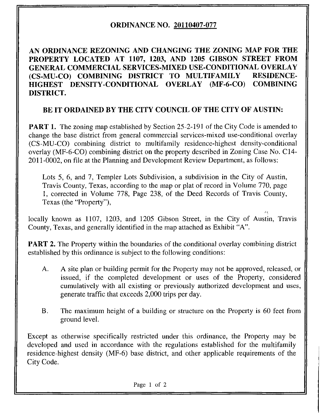## ORDINANCE NO. 20110407-077

AN ORDINANCE REZONING AND CHANGING THE ZONING MAP FOR THE PROPERTY LOCATED AT 1107, 1203, AND 1205 GIBSON STREET FROM GENERAL COMMERCIAL SERVICES-MIXED USE-CONDITIONAL OVERLAY (CS-MU-CO) COMBINING DISTRICT TO MULTIFAMILY RESIDENCE-HIGHEST DENSITY-CONDITIONAL OVERLAY (MF-6-CO) COMBINING DISTRICT.

## BE IT ORDAINED BY THE CITY COUNCIL OF THE CITY OF AUSTIN:

**PART 1.** The zoning map established by Section 25-2-191 of the City Code is amended to change the base district from general commercial services-mixed use-conditional overlay (CS-MU-CO) combining district to multifamily residence-highest density-conditional overlay (MF-6-CO) combining district on the property described in Zoning Case No. C14- 2011-0002, on file at the Planning and Development Review Department, as follows:

Lots 5, 6, and 7, Templer Lots Subdivision, a subdivision in the City of Austin, Travis County, Texas, according to the map or plat of record in Volume 770, page 1, corrected in Volume 778, Page 238, of the Deed Records of Travis County, Texas (the "Property"),

locally known as 1107, 1203, and 1205 Gibson Street, in the City of Austin, Travis County, Texas, and generally identified in the map attached as Exhibit "A".

**PART 2.** The Property within the boundaries of the conditional overlay combining district established by this ordinance is subject to the following conditions:

- A. A site plan or building permit for the Property may not be approved, released, or issued, if the completed development or uses of the Property, considered cumulatively with all existing or previously authorized development and uses, generate traffic that exceeds 2,000 trips per day.
- B. The maximum height of a building or structure on the Property is 60 feet from ground level.

Except as otherwise specifically restricted under this ordinance, the Property may be developed and used in accordance with the regulations established for the multifamily residence-highest density (MF-6) base district, and other applicable requirements of the City Code.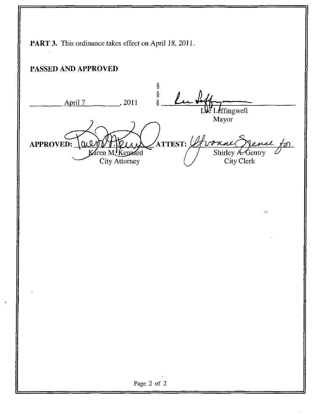PART 3. This ordinance takes effect on April 18, 2011. PASSED AND APPROVED  $\frac{8}{8}$ Lub April 7 , 2011  $\sqrt{\text{ffingwell}}$ Mayor  $\gamma$ attest:  $\mathscr{L}$ Lonne ail APPROVED: ゚゚゙゚゚゚゚゚゚゚゚゚゚゚゚゚゚ Karen M, Kennard Shirley A. Gentry City Clerk v City Attorney  $\sigma_{\rm M}$ Page 2 of 2